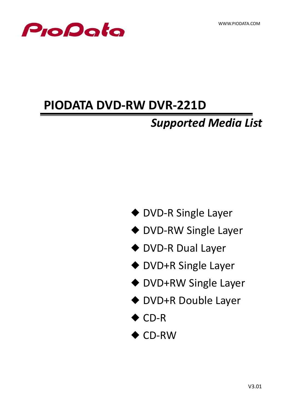

# **PIODATA DVD-RW DVR-221D**

## *Supported Media List*

- ◆ DVD-R Single Layer
- ◆ DVD-RW Single Layer
- ◆ DVD-R Dual Layer
- ◆ DVD+R Single Layer
- ◆ DVD+RW Single Layer
- ◆ DVD+R Double Layer
- ◆ CD-R
- ◆ CD-RW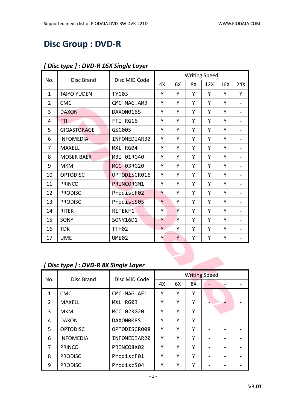## **Disc Group : DVD-R**

|                |                    |                   |    |    |    | <b>Writing Speed</b> |     |                              |
|----------------|--------------------|-------------------|----|----|----|----------------------|-----|------------------------------|
| No.            | <b>Disc Brand</b>  | Disc MID Code     | 4X | 6X | 8X | 12X                  | 16X | 24X                          |
| $\mathbf{1}$   | <b>TAIYO YUDEN</b> | <b>TYG03</b>      | Y  | Y  | Y  | Y                    | Y   | Y                            |
| $\overline{2}$ | <b>CMC</b>         | CMC MAG.AM3       | Υ  | Y  | Υ  | Y                    | Y   | $\overline{\phantom{0}}$     |
| 3              | <b>DAXON</b>       | DAXON016S         | Υ  | Υ  | Υ  | Y                    | Y   | $\blacksquare$               |
| 4              | <b>FTI</b>         | FTI RG16          | Υ  | Y  | Υ  | Y                    | Y   | $\overline{\phantom{a}}$     |
| 5              | <b>GIGASTORAGE</b> | GSC005            | Y  | Y  | Y  | Y                    | Y   |                              |
| 6              | <b>INFOMEDIA</b>   | INFOMEDIAR30      | Y  | Y  | Υ  | Y                    | Y   | $\overline{\phantom{0}}$     |
| 7              | <b>MAXELL</b>      | MXL RG04          | Y  | Y  | Y  | Y                    | Y   | $\qquad \qquad \blacksquare$ |
| 8              | <b>MOSER BAER</b>  | MBI 01RG40        | Y  | Y  | Υ  | Y                    | Y   |                              |
| 9              | <b>MKM</b>         | MCC 03RG20        | Y  | Y  | Υ  | Y                    | Y   |                              |
| 10             | <b>OPTODISC</b>    | OPTODISCR016      | Υ  | Y  | Υ  | Υ                    | Y   |                              |
| 11             | <b>PRINCO</b>      | PRINCORGM1        | Υ  | Y  | Υ  | Υ                    | Y   | $\blacksquare$               |
| 12             | <b>PRODISC</b>     | ProdiscF02        | Y  | Y  | Υ  | Y                    | Y   |                              |
| 13             | <b>PRODISC</b>     | ProdiscS05        | Y  | Y  | Υ  | Υ                    | Y   | $\qquad \qquad \blacksquare$ |
| 14             | <b>RITEK</b>       | RITEKF1           | Y  | Y  | Y  | Y                    | Y   | $\overline{\phantom{a}}$     |
| 15             | SONY               | SONY16D1          | Y  | Y  | Υ  | Y                    | Y   | $\qquad \qquad \blacksquare$ |
| 16             | <b>TDK</b>         | TTH <sub>02</sub> | Y  | Υ  | Υ  | Υ                    | Y   |                              |
| 17             | <b>UME</b>         | <b>UME02</b>      | Y  | Y  | Υ  | Υ                    | Υ   |                              |

#### *[ Disc type ] : DVD-R 16X Single Layer*

#### *[ Disc type ] : DVD-R 8X Single Layer*

|               |                  | Disc MID Code | <b>Writing Speed</b> |    |    |                          |  |  |
|---------------|------------------|---------------|----------------------|----|----|--------------------------|--|--|
| No.           | Disc Brand       |               | 4X                   | 6X | 8X |                          |  |  |
| 1             | <b>CMC</b>       | CMC MAG.AE1   | Υ                    | Υ  | Υ  |                          |  |  |
| $\mathcal{P}$ | <b>MAXELL</b>    | MXL RG03      | Υ                    | Υ  | Υ  | -                        |  |  |
| 3             | <b>MKM</b>       | MCC 02RG20    | Υ                    | Υ  | Υ  |                          |  |  |
| 4             | <b>DAXON</b>     | DAXON008S     | Υ                    | Y  | Υ  |                          |  |  |
| 5.            | <b>OPTODISC</b>  | OPTODISCR008  | Υ                    | Υ  | Υ  | $\overline{\phantom{0}}$ |  |  |
| 6             | <b>INFOMEDIA</b> | INFOMEDIAR20  | Υ                    | Υ  | Υ  |                          |  |  |
| 7             | <b>PRINCO</b>    | PRINCO8X02    | Υ                    | Υ  | Υ  |                          |  |  |
| 8             | <b>PRODISC</b>   | ProdiscF01    | Υ                    | Υ  | Υ  | $\overline{\phantom{0}}$ |  |  |
| 9             | <b>PRODISC</b>   | ProdiscS04    | Υ                    | Υ  | γ  |                          |  |  |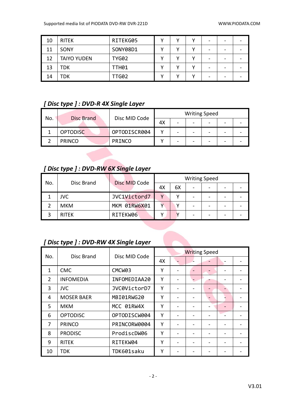| 10 | <b>RITEK</b>       | RITEKG05     | v | v | - |  |
|----|--------------------|--------------|---|---|---|--|
| 11 | SONY               | SONY08D1     |   | v | - |  |
| 12 | <b>TAIYO YUDEN</b> | <b>TYG02</b> |   |   | - |  |
| 13 | TDK                | <b>TTH01</b> |   |   | - |  |
| 14 | TDK                | TTG02        |   |   | - |  |

#### *[ Disc type ] : DVD-R 4X Single Layer*

| No. |                   | Disc MID Code |    | <b>Writing Speed</b> |                          |  |
|-----|-------------------|---------------|----|----------------------|--------------------------|--|
|     | <b>Disc Brand</b> |               | 4Х |                      | $\overline{\phantom{0}}$ |  |
|     | <b>OPTODISC</b>   | OPTODISCR004  |    |                      | -                        |  |
|     | <b>PRINCO</b>     | PRINCO        |    |                      | -                        |  |

#### *[ Disc type ] : DVD-RW 6X Single Layer*

| No. |              | Disc MID Code |              |    | <b>Writing Speed</b>     |   |  |
|-----|--------------|---------------|--------------|----|--------------------------|---|--|
|     | Disc Brand   |               | 4Х           | 6X | $\overline{\phantom{0}}$ |   |  |
|     | <b>JVC</b>   | JVC1Victord7  | $\mathbf{v}$ |    |                          |   |  |
|     | <b>MKM</b>   | MKM 01RW6X01  |              |    |                          |   |  |
|     | <b>RITEK</b> | RITEKW06      |              |    |                          | - |  |

#### *[ Disc type ] : DVD-RW 4X Single Layer*

|               | Disc Brand        |               | <b>Writing Speed</b> |  |  |  |  |  |
|---------------|-------------------|---------------|----------------------|--|--|--|--|--|
| No.           |                   | Disc MID Code | 4X                   |  |  |  |  |  |
| $\mathbf{1}$  | <b>CMC</b>        | CMCW03        | Y                    |  |  |  |  |  |
| $\mathcal{P}$ | <b>INFOMEDIA</b>  | INFOMEDIAA20  | Υ                    |  |  |  |  |  |
| 3             | <b>JVC</b>        | JVC0VictorD7  | Υ                    |  |  |  |  |  |
| 4             | <b>MOSER BAER</b> | MBI01RWG20    | Y                    |  |  |  |  |  |
| 5             | <b>MKM</b>        | MCC 01RW4X    | Y                    |  |  |  |  |  |
| 6             | <b>OPTODISC</b>   | OPTODISCW004  | Υ                    |  |  |  |  |  |
| 7             | <b>PRINCO</b>     | PRINCORW0004  | Υ                    |  |  |  |  |  |
| 8             | <b>PRODISC</b>    | ProdiscDW06   | Υ                    |  |  |  |  |  |
| 9             | <b>RITEK</b>      | RITEKW04      | Y                    |  |  |  |  |  |
| 10            | TDK               | TDK601saku    | Υ                    |  |  |  |  |  |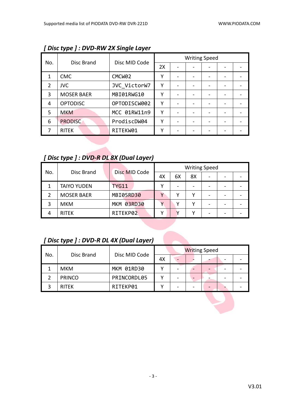|               | Disc Brand        | Disc MID Code      | <b>Writing Speed</b> |  |  |  |  |  |
|---------------|-------------------|--------------------|----------------------|--|--|--|--|--|
| No.           |                   |                    | 2X                   |  |  |  |  |  |
|               | <b>CMC</b>        | CMCW <sub>02</sub> | γ                    |  |  |  |  |  |
| $\mathcal{P}$ | <b>JVC</b>        | JVC VictorW7       | γ                    |  |  |  |  |  |
| 3             | <b>MOSER BAER</b> | MBI01RWG10         | γ                    |  |  |  |  |  |
| 4             | <b>OPTODISC</b>   | OPTODISCW002       | Υ                    |  |  |  |  |  |
| 5             | <b>MKM</b>        | MCC 01RW11n9       | γ                    |  |  |  |  |  |
| 6             | <b>PRODISC</b>    | ProdiscDW04        | γ                    |  |  |  |  |  |
|               | <b>RITEK</b>      | RITEKW01           | γ                    |  |  |  |  |  |

*[ Disc type ] : DVD-RW 2X Single Layer*

#### *[ Disc type ] : DVD-R DL 8X (Dual Layer)*

| No. | Disc Brand         | Disc MID Code |    |    | <b>Writing Speed</b> |                              |  |
|-----|--------------------|---------------|----|----|----------------------|------------------------------|--|
|     |                    |               | 4X | 6Х | 8X                   | $\qquad \qquad \blacksquare$ |  |
|     | <b>TAIYO YUDEN</b> | <b>TYG11</b>  | v  |    |                      | $\overline{\phantom{a}}$     |  |
|     | <b>MOSER BAER</b>  | MBI05RD30     |    |    |                      | $\qquad \qquad \blacksquare$ |  |
| 3   | <b>MKM</b>         | MKM 03RD30    |    |    |                      | -                            |  |
|     | <b>RITEK</b>       | RITEKP02      | v  |    |                      | -                            |  |

#### *[ Disc type ] : DVD-R DL 4X (Dual Layer)*

| No. | Disc Brand    |               | <b>Writing Speed</b> |  |  |  |  |  |
|-----|---------------|---------------|----------------------|--|--|--|--|--|
|     |               | Disc MID Code | 4X                   |  |  |  |  |  |
|     | <b>MKM</b>    | MKM 01RD30    |                      |  |  |  |  |  |
|     | <b>PRINCO</b> | PRINCORDL05   |                      |  |  |  |  |  |
|     | <b>RITEK</b>  | RITEKP01      |                      |  |  |  |  |  |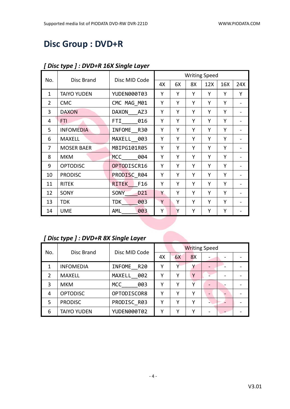## **Disc Group : DVD+R**

|                |                    |                    |    |    | <b>Writing Speed</b> |     |     |     |
|----------------|--------------------|--------------------|----|----|----------------------|-----|-----|-----|
| No.            | Disc Brand         | Disc MID Code      | 4Х | 6X | 8X                   | 12X | 16X | 24X |
| $\mathbf{1}$   | <b>TAIYO YUDEN</b> | YUDEN000T03        | Υ  | Y  | Y                    | Y   | Y   | Y   |
| $\overline{2}$ | <b>CMC</b>         | CMC MAG M01        | Υ  | Y  | Y                    | Υ   | Y   |     |
| 3              | <b>DAXON</b>       | DAXON<br>AZ3       | Y  | Υ  | Υ                    | Υ   | Y   |     |
| 4              | <b>FTI</b>         | 016<br>FTI         | Υ  | Y  | Υ                    | Υ   | Y   |     |
| 5              | <b>INFOMEDIA</b>   | INFOME R30         | Υ  | Y  | Υ                    | Y   | Y   |     |
| 6              | <b>MAXELL</b>      | MAXELL 003         | Υ  | Y  | Υ                    | Υ   | Y   |     |
| 7              | <b>MOSER BAER</b>  | MBIPG101R05        | Υ  | Y  | Y                    | Υ   | Y   |     |
| 8              | <b>MKM</b>         | <b>MCC</b><br>004  | Υ  | Υ  | Υ                    | Υ   | Y   |     |
| 9              | <b>OPTODISC</b>    | OPTODISCR16        | Υ  | Υ  | Υ                    | Υ   | Y   |     |
| 10             | <b>PRODISC</b>     | PRODISC R04        | Y  | Υ  | Υ                    | Υ   | Y   |     |
| 11             | <b>RITEK</b>       | F16<br>RITEK       | Υ  | Y  | Y                    | Υ   | Y   |     |
| 12             | SONY               | D21<br><b>SONY</b> | Y  | Υ  | Υ                    | Υ   | Y   |     |
| 13             | <b>TDK</b>         | <b>TDK</b><br>003  | Y  | Y  | Υ                    | Υ   | Y   |     |
| 14             | <b>UME</b>         | AML<br>003         | Υ  | Y  | Y                    | Υ   | Υ   |     |

#### *[ Disc type ] : DVD+R 16X Single Layer*

# *[ Disc type ] : DVD+R 8X Single Layer*

| No.           |                    |               |    |    | <b>Writing Speed</b> |  |  |
|---------------|--------------------|---------------|----|----|----------------------|--|--|
|               | Disc Brand         | Disc MID Code | 4Х | 6X | 8X                   |  |  |
|               | <b>INFOMEDIA</b>   | INFOME R20    | γ  | ν  |                      |  |  |
| $\mathcal{P}$ | <b>MAXELL</b>      | MAXELL 002    | ٧  | v  | Υ                    |  |  |
| 3             | <b>MKM</b>         | MCC<br>003    | γ  | ν  |                      |  |  |
| 4             | <b>OPTODISC</b>    | OPTODISCOR8   | γ  | ν  | ν                    |  |  |
| 5             | <b>PRODISC</b>     | PRODISC R03   | γ  | ν  | ٧                    |  |  |
| 6             | <b>TAIYO YUDEN</b> | YUDEN000T02   | v  | ν  | ν                    |  |  |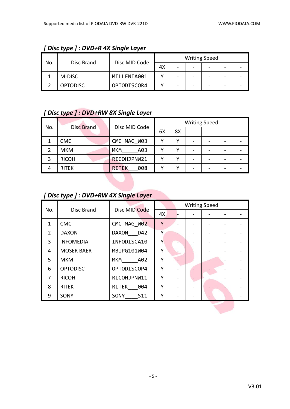| No. |                 |               |    |   | <b>Writing Speed</b> |  |  |
|-----|-----------------|---------------|----|---|----------------------|--|--|
|     | Disc Brand      | Disc MID Code | 4X | - | -                    |  |  |
|     | M-DISC          | MILLENIA001   |    |   | -                    |  |  |
|     | <b>OPTODISC</b> | OPTODISCOR4   |    |   | -                    |  |  |

#### *[ Disc type ] : DVD+R 4X Single Layer*

#### *[ Disc type ] : DVD+RW 8X Single Layer*

| No. | <b>Disc Brand</b> | Disc MID Code       | <b>Writing Speed</b> |    |  |  |  |  |
|-----|-------------------|---------------------|----------------------|----|--|--|--|--|
|     |                   |                     | 6X                   | 8X |  |  |  |  |
|     | <b>CMC</b>        | CMC MAG W03         |                      | v  |  |  |  |  |
|     | <b>MKM</b>        | <b>MKM</b><br>A03   |                      |    |  |  |  |  |
| 3   | <b>RICOH</b>      | RICOHJPNW21         |                      |    |  |  |  |  |
| 4   | <b>RITEK</b>      | 008<br><b>RITEK</b> |                      |    |  |  |  |  |

#### *[ Disc type ] : DVD+RW 4X Single Layer*

| No.            | Disc Brand        | Disc MID Code       |    |  | <b>Writing Speed</b> |  |
|----------------|-------------------|---------------------|----|--|----------------------|--|
|                |                   |                     | 4X |  |                      |  |
| $\mathbf{1}$   | <b>CMC</b>        | CMC MAG W02         | Y  |  |                      |  |
| $\overline{2}$ | <b>DAXON</b>      | <b>DAXON</b><br>D42 | Υ  |  |                      |  |
| 3              | <b>INFOMEDIA</b>  | INFODISCA10         | Υ  |  |                      |  |
| 4              | <b>MOSER BAER</b> | MBIPG101W04         | Υ  |  |                      |  |
| 5              | <b>MKM</b>        | <b>MKM</b><br>A02   | Υ  |  |                      |  |
| 6              | <b>OPTODISC</b>   | OPTODISCOP4         | Y  |  |                      |  |
| 7              | <b>RICOH</b>      | RICOHJPNW11         | Υ  |  |                      |  |
| 8              | <b>RITEK</b>      | <b>RITEK</b><br>004 | Υ  |  |                      |  |
| 9              | SONY              | SONY<br>S11         | Υ  |  |                      |  |
|                |                   |                     |    |  |                      |  |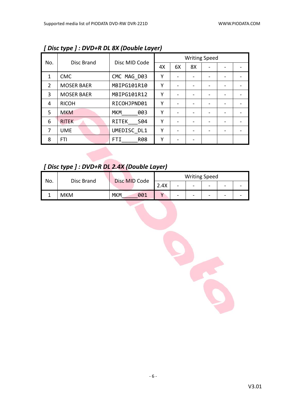|     |                   |                     |    |    | <b>Writing Speed</b> |                              |  |
|-----|-------------------|---------------------|----|----|----------------------|------------------------------|--|
| No. | Disc Brand        | Disc MID Code       | 4X | 6X | 8X                   |                              |  |
| 1   | <b>CMC</b>        | CMC MAG D03         | Y  |    |                      |                              |  |
| 2   | <b>MOSER BAER</b> | MBIPG101R10         | Υ  |    |                      |                              |  |
| 3   | <b>MOSER BAER</b> | MBIPG101R12         | Υ  |    |                      |                              |  |
| 4   | <b>RICOH</b>      | RICOHJPND01         | Υ  |    |                      |                              |  |
| 5   | <b>MKM</b>        | <b>MKM</b><br>003   | Υ  |    |                      | $\qquad \qquad \blacksquare$ |  |
| 6   | <b>RITEK</b>      | <b>RITEK</b><br>S04 | Υ  |    |                      |                              |  |
| 7   | <b>UME</b>        | UMEDISC DL1         | Υ  |    |                      |                              |  |
| 8   | <b>FTI</b>        | <b>R08</b><br>FTI.  | Υ  |    |                      |                              |  |

*[ Disc type ] : DVD+R DL 8X (Double Layer)*

*[ Disc type ] : DVD+R DL 2.4X (Double Layer)*

| No. |            | Disc MID Code | <b>Writing Speed</b> |                          |   |                          |                          |  |  |
|-----|------------|---------------|----------------------|--------------------------|---|--------------------------|--------------------------|--|--|
|     | Disc Brand |               | 2.4X<br>ົາ           | $\overline{\phantom{0}}$ | - | -                        | -                        |  |  |
|     | <b>MKM</b> | 001<br>MKM    |                      | $\overline{\phantom{0}}$ | - | $\overline{\phantom{a}}$ | $\overline{\phantom{0}}$ |  |  |

Ŕ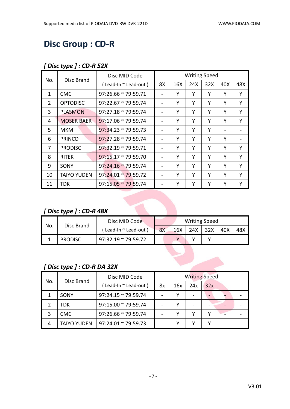## **Disc Group : CD-R**

#### *[ Disc type ] : CD-R 52X*

| No.            | Disc Brand         | Disc MID Code                   |    |     | <b>Writing Speed</b> |     |     |     |
|----------------|--------------------|---------------------------------|----|-----|----------------------|-----|-----|-----|
|                |                    | $($ Lead-In $\sim$ Lead-out $)$ | 8X | 16X | 24X                  | 32X | 40X | 48X |
| 1              | <b>CMC</b>         | $97:26.66 \approx 79:59.71$     |    | Υ   | Υ                    | Υ   | Υ   | Y   |
| $\overline{2}$ | <b>OPTODISC</b>    | $97:22.67 \approx 79:59.74$     |    | Υ   | Υ                    | Y   | Υ   | Υ   |
| 3              | <b>PLASMON</b>     | $97:27.18 \approx 79:59.74$     |    | Υ   | Υ                    | Υ   | Υ   | Υ   |
| 4              | <b>MOSER BAER</b>  | $97:17.06 \approx 79:59.74$     |    | Υ   | Υ                    | Y   | Υ   | Υ   |
| 5              | MKM                | $97:34.23 \approx 79:59.73$     |    | Y   | Υ                    | Y   |     |     |
| 6              | <b>PRINCO</b>      | $97:27.28 \approx 79:59.74$     |    | Υ   | Υ                    | Υ   | Υ   |     |
| 7              | <b>PRODISC</b>     | $97:32.19 \approx 79:59.71$     |    | Υ   | Υ                    | Υ   | Υ   | Υ   |
| 8              | <b>RITEK</b>       | $97:15.17 \approx 79:59.70$     |    | Υ   | Υ                    | Υ   | Υ   | Υ   |
| 9              | SONY               | $97:24.16 \approx 79:59.74$     |    | Υ   | Υ                    | Y   | Υ   | Υ   |
| 10             | <b>TAIYO YUDEN</b> | $97:24.01 \approx 79:59.72$     |    | Υ   | Υ                    | Υ   | Υ   | Y   |
| 11             | TDK.               | $97:15.05 \approx 79:59.74$     |    | Υ   | Υ                    | Υ   | Υ   | Υ   |

#### *[ Disc type ] : CD-R 48X*

| No. |                | Disc MID Code               |    |     | <b>Writing Speed</b> |     |     |     |  |
|-----|----------------|-----------------------------|----|-----|----------------------|-----|-----|-----|--|
|     | Disc Brand     | ∫ Lead-In ~ Lead-out )      | 8X | 16X | 24X                  | 32X | 40X | 48X |  |
|     | <b>PRODISC</b> | $97:32.19 \approx 79:59.72$ |    |     |                      |     | -   |     |  |

#### *[ Disc type ] : CD-R DA 32X*

| No. | Disc Brand         | Disc MID Code               | <b>Writing Speed</b> |     |     |                          |  |  |
|-----|--------------------|-----------------------------|----------------------|-----|-----|--------------------------|--|--|
|     |                    | (Lead-In ~ Lead-out)        | 8x                   | 16x | 24x | 32x                      |  |  |
|     | SONY               | $97:24.15 \approx 79:59.74$ |                      |     |     | $\overline{\phantom{0}}$ |  |  |
|     | TDK                | $97:15.00 \approx 79:59.74$ |                      |     |     |                          |  |  |
|     | <b>CMC</b>         | $97:26.66 \approx 79:59.74$ |                      |     |     |                          |  |  |
| 4   | <b>TAIYO YUDEN</b> | $97:24.01 \approx 79:59.73$ |                      |     |     |                          |  |  |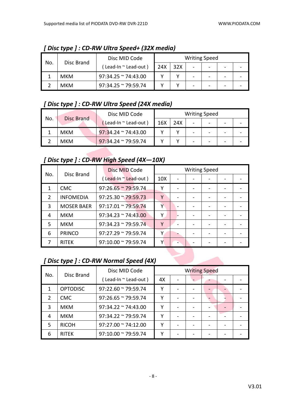|     |            | Disc MID Code               |     |     | <b>Writing Speed</b> |  |  |
|-----|------------|-----------------------------|-----|-----|----------------------|--|--|
| No. | Disc Brand | Lead-In ~ Lead-out)         | 24X | 32X |                      |  |  |
|     | <b>MKM</b> | $97:34.25$ ~ 74:43.00       |     |     |                      |  |  |
|     | <b>MKM</b> | $97:34.25 \approx 79:59.74$ |     |     |                      |  |  |

*[ Disc type ] : CD-RW Ultra Speed+ (32X media)*

#### *[ Disc type ] : CD-RW Ultra Speed (24X media)*

| No. | <b>Disc Brand</b> | Disc MID Code               |     |     | <b>Writing Speed</b>     |                          |  |
|-----|-------------------|-----------------------------|-----|-----|--------------------------|--------------------------|--|
|     |                   | [Lead-In ~ Lead-out)        | 16X | 24X |                          | $\overline{\phantom{0}}$ |  |
|     | <b>MKM</b>        | $97:34.24 \approx 74:43.00$ |     |     | $\overline{\phantom{0}}$ | $\overline{\phantom{0}}$ |  |
|     | <b>MKM</b>        | $97:34.24 \approx 79:59.74$ |     |     |                          | -                        |  |

#### *[ Disc type ] : CD-RW High Speed (4X—10X)*

|               |                   | Disc MID Code               |                 | <b>Writing Speed</b> |  |  |
|---------------|-------------------|-----------------------------|-----------------|----------------------|--|--|
| No.           | Disc Brand        | (Lead-In "Lead-out)         | 10 <sub>X</sub> |                      |  |  |
|               | <b>CMC</b>        | $97:26.65 \approx 79:59.74$ | ٧               |                      |  |  |
| $\mathcal{P}$ | <b>INFOMEDIA</b>  | $97:25.30 \approx 79:59.73$ | Υ               |                      |  |  |
| 3             | <b>MOSER BAER</b> | $97:17.01 \approx 79:59.74$ | Υ               |                      |  |  |
| 4             | <b>MKM</b>        | $97:34.23 \approx 74:43.00$ | Υ               |                      |  |  |
| .5            | <b>MKM</b>        | $97:34.23 \approx 79:59.74$ | γ               |                      |  |  |
| 6             | <b>PRINCO</b>     | $97:27.29 \approx 79:59.74$ | Υ               |                      |  |  |
|               | <b>RITEK</b>      | $97:10.00 \approx 79:59.74$ | Υ               |                      |  |  |

#### *[ Disc type ] : CD-RW Normal Speed (4X)*

| No.           | Disc Brand      | Disc MID Code               | <b>Writing Speed</b> |  |  |  |  |
|---------------|-----------------|-----------------------------|----------------------|--|--|--|--|
|               |                 | (Lead-In ~ Lead-out)        | 4X                   |  |  |  |  |
| 1             | <b>OPTODISC</b> | $97:22.60 \approx 79:59.74$ | v                    |  |  |  |  |
| $\mathcal{P}$ | <b>CMC</b>      | $97:26.65 \approx 79:59.74$ | v                    |  |  |  |  |
| 3             | <b>MKM</b>      | $97:34.22 \approx 74:43.00$ | γ                    |  |  |  |  |
| 4             | <b>MKM</b>      | $97:34.22 \approx 79:59.74$ | γ                    |  |  |  |  |
| 5             | <b>RICOH</b>    | $97:27.00 \approx 74:12.00$ | γ                    |  |  |  |  |
| 6             | <b>RITEK</b>    | $97:10.00 \approx 79:59.74$ | v                    |  |  |  |  |